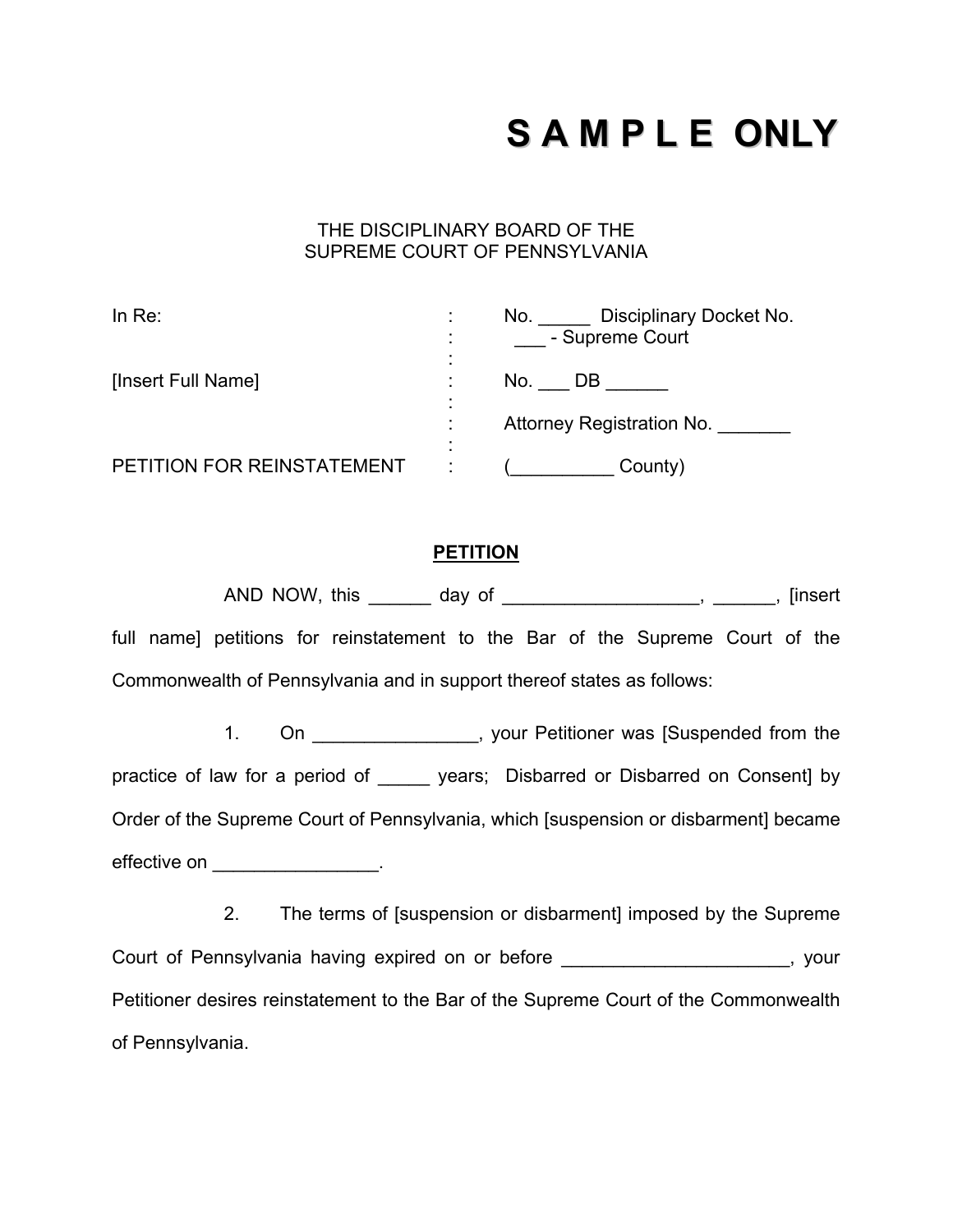## **S A M P L E ONLY**

## THE DISCIPLINARY BOARD OF THE SUPREME COURT OF PENNSYLVANIA

| In $Re:$                   | Disciplinary Docket No.<br>No.<br>- Supreme Court |
|----------------------------|---------------------------------------------------|
| [Insert Full Name]         | No.<br>DB                                         |
|                            | Attorney Registration No.                         |
| PETITION FOR REINSTATEMENT | County)                                           |

## **PETITION**

AND NOW, this \_\_\_\_\_\_\_ day of \_\_\_\_\_\_\_\_\_\_\_\_\_\_\_\_\_\_\_\_, \_\_\_\_\_\_, [insert full name] petitions for reinstatement to the Bar of the Supreme Court of the Commonwealth of Pennsylvania and in support thereof states as follows:

1. On  $\blacksquare$ , your Petitioner was [Suspended from the practice of law for a period of \_\_\_\_\_\_ years; Disbarred or Disbarred on Consent] by Order of the Supreme Court of Pennsylvania, which [suspension or disbarment] became effective on \_\_\_\_\_\_\_\_\_\_\_\_\_\_\_\_\_\_.

 2. The terms of [suspension or disbarment] imposed by the Supreme Court of Pennsylvania having expired on or before **Example 2018**, your Petitioner desires reinstatement to the Bar of the Supreme Court of the Commonwealth of Pennsylvania.